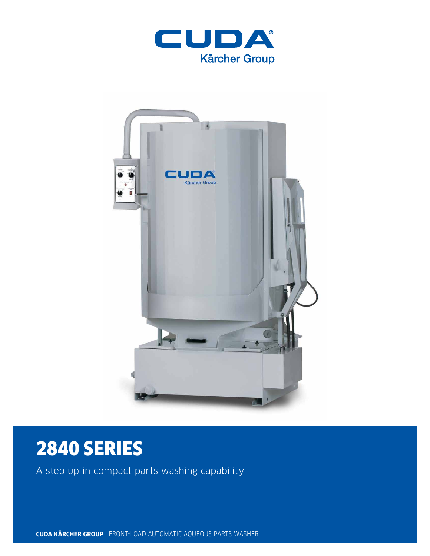



# 2840 SERIES

A step up in compact parts washing capability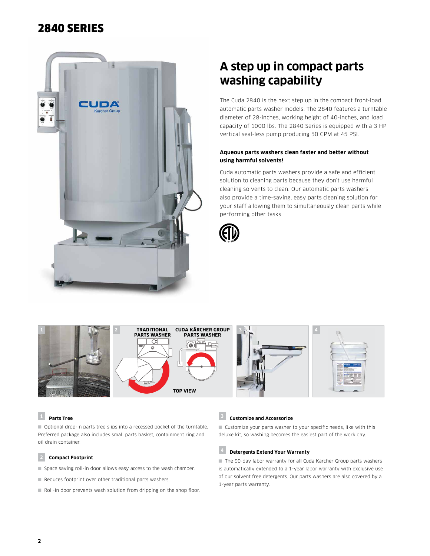# 2840 SERIES



# **A step up in compact parts washing capability**

The Cuda 2840 is the next step up in the compact front-load automatic parts washer models. The 2840 features a turntable diameter of 28-inches, working height of 40-inches, and load capacity of 1000 lbs. The 2840 Series is equipped with a 3 HP vertical seal-less pump producing 50 GPM at 45 PSI.

### **Aqueous parts washers clean faster and better without using harmful solvents!**

Cuda automatic parts washers provide a safe and efficient solution to cleaning parts because they don't use harmful cleaning solvents to clean. Our automatic parts washers also provide a time-saving, easy parts cleaning solution for your staff allowing them to simultaneously clean parts while performing other tasks.





### **<sup>1</sup> Parts Tree**

■ Optional drop-in parts tree slips into a recessed pocket of the turntable. Preferred package also includes small parts basket, containment ring and oil drain container.

#### **2 Compact Footprint**

- Space saving roll-in door allows easy access to the wash chamber.
- Reduces footprint over other traditional parts washers.
- Roll-in door prevents wash solution from dripping on the shop floor.

## **<sup>3</sup> Customize and Accessorize**

■ Customize your parts washer to your specific needs, like with this deluxe kit, so washing becomes the easiest part of the work day.

# **<sup>4</sup> Detergents Extend Your Warranty**

■ The 90-day labor warranty for all Cuda Kärcher Group parts washers is automatically extended to a 1-year labor warranty with exclusive use of our solvent free detergents. Our parts washers are also covered by a 1-year parts warranty.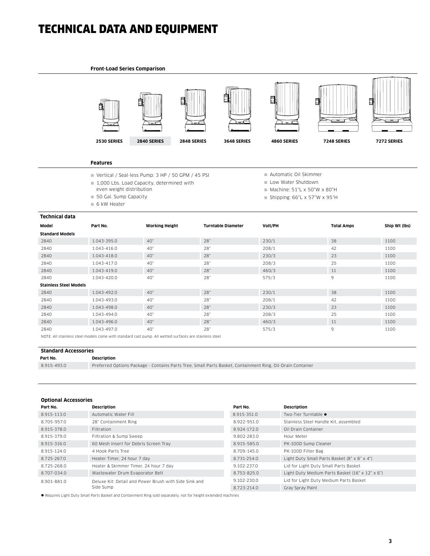# TECHNICAL DATA AND EQUIPMENT

#### **Front-Load Series Comparison**



#### **Features**

- Vertical / Seal-less Pump: 3 HP / 50 GPM / 45 PSI
- 1,000 Lbs. Load Capacity, determined with
- even weight distribution
- 50 Gal. Sump Capacity
- 6 kW Heater
- Automatic Oil Skimmer
- Low Water Shutdown
- $M$ Machine: 51"L x 50"W x 80"H
- Shipping:  $66"L \times 57"W \times 95"H$

| <b>Technical data</b>                                                                                  |             |                       |                           |         |                   |               |  |  |
|--------------------------------------------------------------------------------------------------------|-------------|-----------------------|---------------------------|---------|-------------------|---------------|--|--|
| Model                                                                                                  | Part No.    | <b>Working Height</b> | <b>Turntable Diameter</b> | Volt/PH | <b>Total Amps</b> | Ship Wt (lbs) |  |  |
| <b>Standard Models</b>                                                                                 |             |                       |                           |         |                   |               |  |  |
| 2840                                                                                                   | 1.043-395.0 | 40"                   | 28"                       | 230/1   | 38                | 1100          |  |  |
| 2840                                                                                                   | 1.043-416.0 | 40"                   | 28"                       | 208/1   | 42                | 1100          |  |  |
| 2840                                                                                                   | 1.043-418.0 | 40"                   | 28"                       | 230/3   | 23                | 1100          |  |  |
| 2840                                                                                                   | 1.043-417.0 | 40"                   | 28"                       | 208/3   | 25                | 1100          |  |  |
| 2840                                                                                                   | 1.043-419.0 | 40"                   | 28"                       | 460/3   | 11                | 1100          |  |  |
| 2840                                                                                                   | 1.043-420.0 | 40"                   | 28"                       | 575/3   | 9                 | 1100          |  |  |
| <b>Stainless Steel Models</b>                                                                          |             |                       |                           |         |                   |               |  |  |
| 2840                                                                                                   | 1.043-492.0 | 40"                   | 28"                       | 230/1   | 38                | 1100          |  |  |
| 2840                                                                                                   | 1.043-493.0 | 40"                   | 28"                       | 208/1   | 42                | 1100          |  |  |
| 2840                                                                                                   | 1.043-498.0 | 40"                   | 28"                       | 230/3   | 23                | 1100          |  |  |
| 2840                                                                                                   | 1.043-494.0 | 40"                   | 28"                       | 208/3   | 25                | 1100          |  |  |
| 2840                                                                                                   | 1.043-496.0 | 40"                   | 28"                       | 460/3   | 11                | 1100          |  |  |
| 2840                                                                                                   | 1.043-497.0 | 40"                   | 28"                       | 575/3   | 9                 | 1100          |  |  |
| NOTE: All etaipless stepl models come with standard sast owne. All wetted surfaces are stainless stepl |             |                       |                           |         |                   |               |  |  |

NOTE: All stainless steel models come with standard cast pump. All wetted surfaces are stainless steel.

#### **Standard Accessories**

**Part No. Description**

8.915-493.0 Preferred Options Package - Contains Parts Tree, Small Parts Basket, Containment Ring, Oil-Drain Container

#### **Optional Accessories**

| Part No.    | Description                                           | Part No.    | <b>Description</b>                              |
|-------------|-------------------------------------------------------|-------------|-------------------------------------------------|
| 8.915-113.0 | Automatic Water Fill                                  | 8.915-351.0 | Two-Tier Turntable ●                            |
| 8.705-957.0 | 28" Containment Ring                                  | 8.922-951.0 | Stainless Steel Handle Kit, assembled           |
| 8.915-378.0 | Filtration                                            | 8.924-172.0 | Oil Drain Container                             |
| 8.915-379.0 | Filtration & Sump Sweep                               | 9.802-283.0 | Hour Meter                                      |
| 8.915-316.0 | 60 Mesh Insert for Debris Screen Tray                 | 8.915-585.0 | PK-100D Sump Cleaner                            |
| 8.915-124.0 | 4 Hook Parts Tree                                     | 8.709-145.0 | PK-100D Filter Bag                              |
| 8.725-267.0 | Heater Timer, 24 hour 7 day                           | 8.731-254.0 | Light Duty Small Parts Basket (8" x 8" x 4")    |
| 8.725-268.0 | Heater & Skimmer Timer, 24 hour 7 day                 | 9.102-237.0 | Lid for Light Duty Small Parts Basket           |
| 8.707-034.0 | Wastewater Drum Evaporator Belt                       | 8.753-825.0 | Light Duty Medium Parts Basket (16" x 12" x 6") |
| 8.901-881.0 | Deluxe Kit: Detail and Power Brush with Side Sink and | 9.102-230.0 | Lid for Light Duty Medium Parts Basket          |
|             | Side Sump                                             | 8.723-214.0 | Gray Spray Paint                                |
|             |                                                       |             |                                                 |

l Requires Light Duty Small Parts Basket and Containment Ring sold separately, not for height extended machines